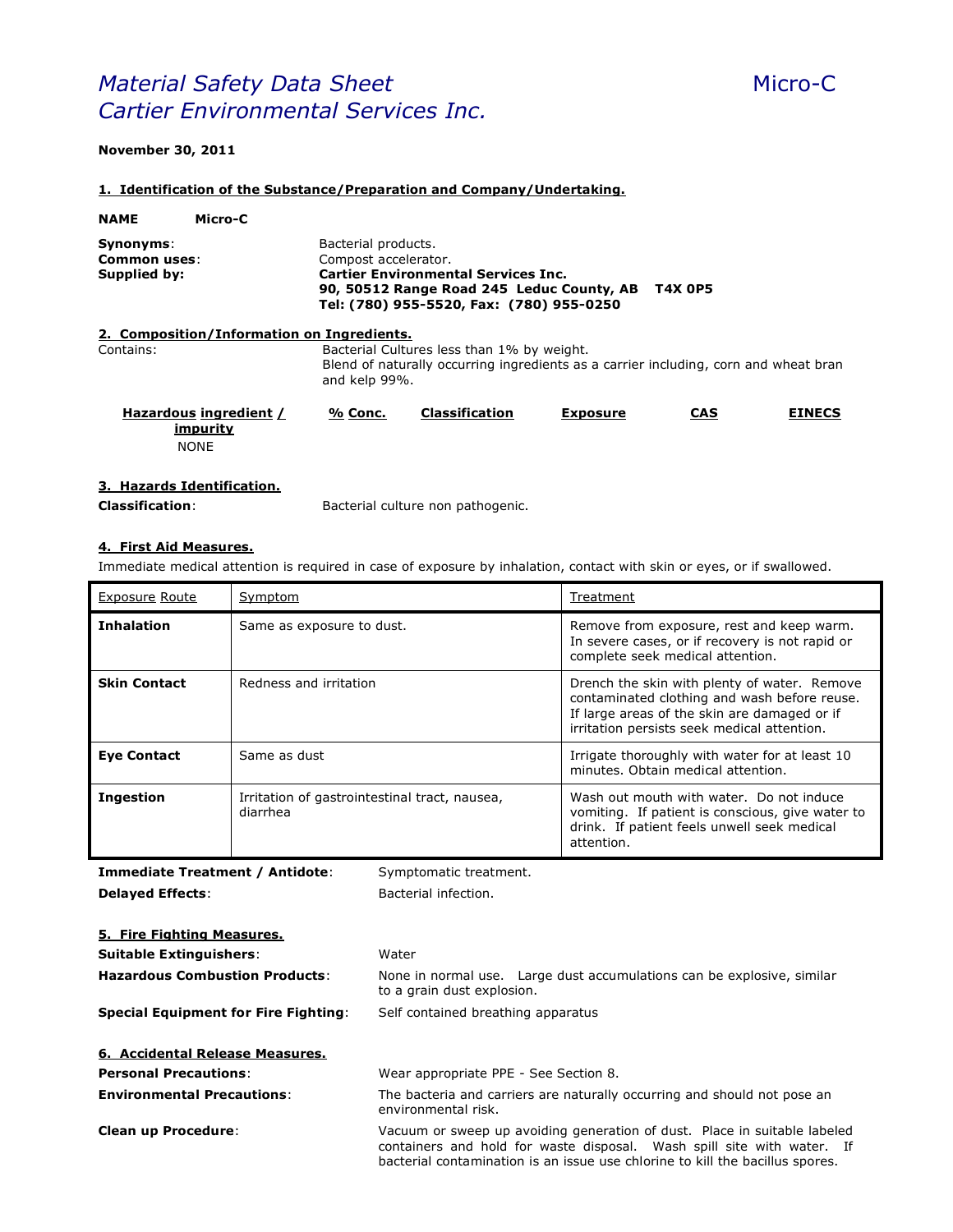# **Material Safety Data Sheet** Micro-C *Cartier Environmental Services Inc.*

## **November 30, 2011**

#### **1. Identification of the Substance/Preparation and Company/Undertaking.**

| <b>NAME</b>                                                                                                                                                                                                                                       | Micro-C                                           |                                                                                                                                                     |                       |                 |            |               |
|---------------------------------------------------------------------------------------------------------------------------------------------------------------------------------------------------------------------------------------------------|---------------------------------------------------|-----------------------------------------------------------------------------------------------------------------------------------------------------|-----------------------|-----------------|------------|---------------|
| Bacterial products.<br>Synonyms:<br>Compost accelerator.<br>Common uses:<br><b>Cartier Environmental Services Inc.</b><br>Supplied by:<br><b>T4X 0P5</b><br>90, 50512 Range Road 245 Leduc County, AB<br>Tel: (780) 955-5520, Fax: (780) 955-0250 |                                                   |                                                                                                                                                     |                       |                 |            |               |
|                                                                                                                                                                                                                                                   | 2. Composition/Information on Ingredients.        |                                                                                                                                                     |                       |                 |            |               |
| Contains:                                                                                                                                                                                                                                         |                                                   | Bacterial Cultures less than 1% by weight.<br>Blend of naturally occurring ingredients as a carrier including, corn and wheat bran<br>and kelp 99%. |                       |                 |            |               |
|                                                                                                                                                                                                                                                   | Hazardous ingredient /<br>impurity<br><b>NONE</b> | % Conc.                                                                                                                                             | <b>Classification</b> | <b>Exposure</b> | <b>CAS</b> | <b>EINECS</b> |

## **3. Hazards Identification.**

**Classification**: Bacterial culture non pathogenic.

# **4. First Aid Measures.**

Immediate medical attention is required in case of exposure by inhalation, contact with skin or eyes, or if swallowed.

| <b>Exposure Route</b> | Symptom                                                   | Treatment                                                                                                                                                                                   |
|-----------------------|-----------------------------------------------------------|---------------------------------------------------------------------------------------------------------------------------------------------------------------------------------------------|
| <b>Inhalation</b>     | Same as exposure to dust.                                 | Remove from exposure, rest and keep warm.<br>In severe cases, or if recovery is not rapid or<br>complete seek medical attention.                                                            |
| <b>Skin Contact</b>   | Redness and irritation                                    | Drench the skin with plenty of water. Remove<br>contaminated clothing and wash before reuse.<br>If large areas of the skin are damaged or if<br>irritation persists seek medical attention. |
| <b>Eye Contact</b>    | Same as dust                                              | Irrigate thoroughly with water for at least 10<br>minutes. Obtain medical attention.                                                                                                        |
| <b>Ingestion</b>      | Irritation of gastrointestinal tract, nausea,<br>diarrhea | Wash out mouth with water. Do not induce<br>vomiting. If patient is conscious, give water to<br>drink. If patient feels unwell seek medical<br>attention.                                   |

**Immediate Treatment / Antidote**: Symptomatic treatment. **Delayed Effects:** Bacterial infection. **5. Fire Fighting Measures. Suitable Extinguishers**: Water **Hazardous Combustion Products**: None in normal use. Large dust accumulations can be explosive, similar to a grain dust explosion. **Special Equipment for Fire Fighting**: Self contained breathing apparatus **6. Accidental Release Measures. Personal Precautions**: Wear appropriate PPE - See Section 8. **Environmental Precautions:** The bacteria and carriers are naturally occurring and should not pose an environmental risk. **Clean up Procedure**: Vacuum or sweep up avoiding generation of dust. Place in suitable labeled

containers and hold for waste disposal. Wash spill site with water. If bacterial contamination is an issue use chlorine to kill the bacillus spores.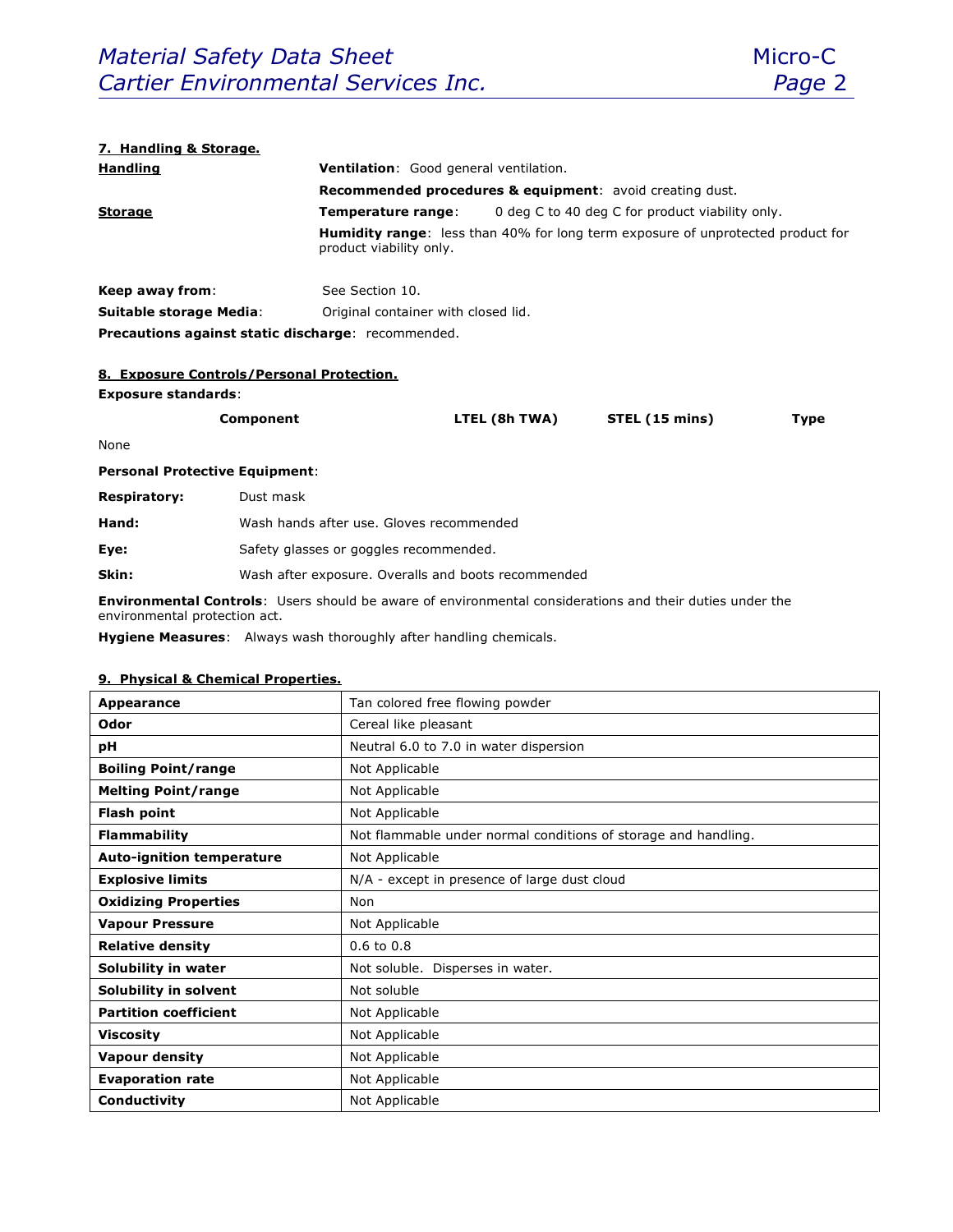#### **7. Handling & Storage.**

| <b>Handling</b>                                                                                                   | Ventilation: Good general ventilation.<br><b>Recommended procedures &amp; equipment:</b> avoid creating dust. |                                                 |  |  |
|-------------------------------------------------------------------------------------------------------------------|---------------------------------------------------------------------------------------------------------------|-------------------------------------------------|--|--|
|                                                                                                                   |                                                                                                               |                                                 |  |  |
| <b>Storage</b>                                                                                                    | Temperature range:                                                                                            | 0 deg C to 40 deg C for product viability only. |  |  |
| <b>Humidity range:</b> less than 40% for long term exposure of unprotected product for<br>product viability only. |                                                                                                               |                                                 |  |  |
| Keep away from:                                                                                                   | See Section 10.                                                                                               |                                                 |  |  |
| <b>Suitable storage Media:</b>                                                                                    | Original container with closed lid.                                                                           |                                                 |  |  |
| <b>Precautions against static discharge: recommended.</b>                                                         |                                                                                                               |                                                 |  |  |

# **8. Exposure Controls/Personal Protection.**

#### **Exposure standards**:

| Component | LTEL (8h TWA) | STEL (15 mins) | Type |
|-----------|---------------|----------------|------|
|           |               |                |      |

None

# **Personal Protective Equipment**:

| <b>Respiratory:</b> | Dust mask |  |
|---------------------|-----------|--|
|                     |           |  |

| Hand: |  |  |  | Wash hands after use. Gloves recommended |
|-------|--|--|--|------------------------------------------|
|-------|--|--|--|------------------------------------------|

**Eye:** Safety glasses or goggles recommended.

**Skin:** Wash after exposure. Overalls and boots recommended

**Environmental Controls**: Users should be aware of environmental considerations and their duties under the environmental protection act.

**Hygiene Measures**: Always wash thoroughly after handling chemicals.

#### **9. Physical & Chemical Properties.**

| Appearance                       | Tan colored free flowing powder                                |  |  |
|----------------------------------|----------------------------------------------------------------|--|--|
| Odor                             | Cereal like pleasant                                           |  |  |
| рH                               | Neutral 6.0 to 7.0 in water dispersion                         |  |  |
| <b>Boiling Point/range</b>       | Not Applicable                                                 |  |  |
| <b>Melting Point/range</b>       | Not Applicable                                                 |  |  |
| <b>Flash point</b>               | Not Applicable                                                 |  |  |
| <b>Flammability</b>              | Not flammable under normal conditions of storage and handling. |  |  |
| <b>Auto-ignition temperature</b> | Not Applicable                                                 |  |  |
| <b>Explosive limits</b>          | N/A - except in presence of large dust cloud                   |  |  |
| <b>Oxidizing Properties</b>      | Non                                                            |  |  |
| <b>Vapour Pressure</b>           | Not Applicable                                                 |  |  |
| <b>Relative density</b>          | $0.6$ to $0.8$                                                 |  |  |
| Solubility in water              | Not soluble. Disperses in water.                               |  |  |
| Solubility in solvent            | Not soluble                                                    |  |  |
| <b>Partition coefficient</b>     | Not Applicable                                                 |  |  |
| <b>Viscosity</b>                 | Not Applicable                                                 |  |  |
| <b>Vapour density</b>            | Not Applicable                                                 |  |  |
| <b>Evaporation rate</b>          | Not Applicable                                                 |  |  |
| Conductivity                     | Not Applicable                                                 |  |  |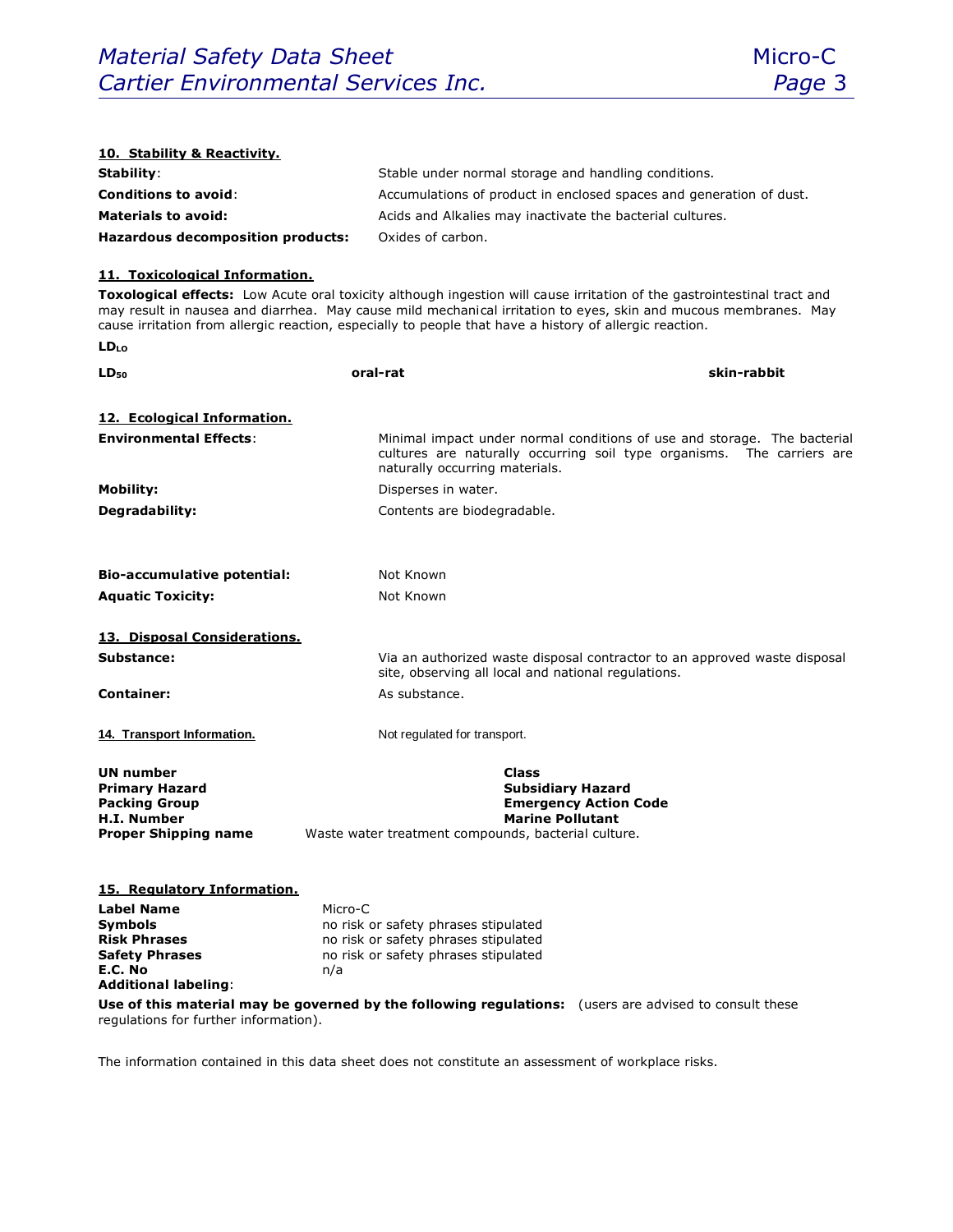

| 10. Stability & Reactivity.                                                                                     |                                                                                                         |                                                                                                                                                                                                                                            |
|-----------------------------------------------------------------------------------------------------------------|---------------------------------------------------------------------------------------------------------|--------------------------------------------------------------------------------------------------------------------------------------------------------------------------------------------------------------------------------------------|
| Stability:                                                                                                      |                                                                                                         | Stable under normal storage and handling conditions.                                                                                                                                                                                       |
| <b>Conditions to avoid:</b>                                                                                     |                                                                                                         | Accumulations of product in enclosed spaces and generation of dust.                                                                                                                                                                        |
| <b>Materials to avoid:</b>                                                                                      |                                                                                                         | Acids and Alkalies may inactivate the bacterial cultures.                                                                                                                                                                                  |
| Hazardous decomposition products:                                                                               | Oxides of carbon.                                                                                       |                                                                                                                                                                                                                                            |
| 11. Toxicological Information.                                                                                  |                                                                                                         |                                                                                                                                                                                                                                            |
|                                                                                                                 | cause irritation from allergic reaction, especially to people that have a history of allergic reaction. | Toxological effects: Low Acute oral toxicity although ingestion will cause irritation of the gastrointestinal tract and<br>may result in nausea and diarrhea. May cause mild mechanical irritation to eyes, skin and mucous membranes. May |
| LDLo                                                                                                            |                                                                                                         |                                                                                                                                                                                                                                            |
| LD <sub>50</sub>                                                                                                | oral-rat                                                                                                | skin-rabbit                                                                                                                                                                                                                                |
| 12. Ecological Information.                                                                                     |                                                                                                         |                                                                                                                                                                                                                                            |
| <b>Environmental Effects:</b>                                                                                   | naturally occurring materials.                                                                          | Minimal impact under normal conditions of use and storage. The bacterial<br>cultures are naturally occurring soil type organisms. The carriers are                                                                                         |
| <b>Mobility:</b>                                                                                                | Disperses in water.                                                                                     |                                                                                                                                                                                                                                            |
| Degradability:                                                                                                  | Contents are biodegradable.                                                                             |                                                                                                                                                                                                                                            |
| <b>Bio-accumulative potential:</b>                                                                              | Not Known                                                                                               |                                                                                                                                                                                                                                            |
| <b>Aquatic Toxicity:</b>                                                                                        | Not Known                                                                                               |                                                                                                                                                                                                                                            |
| 13. Disposal Considerations.                                                                                    |                                                                                                         |                                                                                                                                                                                                                                            |
| Substance:                                                                                                      | site, observing all local and national regulations.                                                     | Via an authorized waste disposal contractor to an approved waste disposal                                                                                                                                                                  |
| <b>Container:</b>                                                                                               | As substance.                                                                                           |                                                                                                                                                                                                                                            |
| 14. Transport Information.                                                                                      | Not regulated for transport.                                                                            |                                                                                                                                                                                                                                            |
| <b>UN number</b><br><b>Primary Hazard</b><br><b>Packing Group</b><br>H.I. Number<br><b>Proper Shipping name</b> | <b>Class</b><br>Waste water treatment compounds, bacterial culture.                                     | <b>Subsidiary Hazard</b><br><b>Emergency Action Code</b><br><b>Marine Pollutant</b>                                                                                                                                                        |
| 15. Regulatory Information.                                                                                     |                                                                                                         |                                                                                                                                                                                                                                            |
| Label Name                                                                                                      | Micro-C                                                                                                 |                                                                                                                                                                                                                                            |
| Symbols<br><b>Risk Phrases</b>                                                                                  | no risk or safety phrases stipulated<br>no risk or safety phrases stipulated                            |                                                                                                                                                                                                                                            |
| <b>Safety Phrases</b>                                                                                           | no risk or safety phrases stipulated                                                                    |                                                                                                                                                                                                                                            |
| E.C. No                                                                                                         | n/a                                                                                                     |                                                                                                                                                                                                                                            |
| <b>Additional labeling:</b>                                                                                     |                                                                                                         |                                                                                                                                                                                                                                            |
| regulations for further information).                                                                           |                                                                                                         | Use of this material may be governed by the following regulations: (users are advised to consult these                                                                                                                                     |

The information contained in this data sheet does not constitute an assessment of workplace risks.